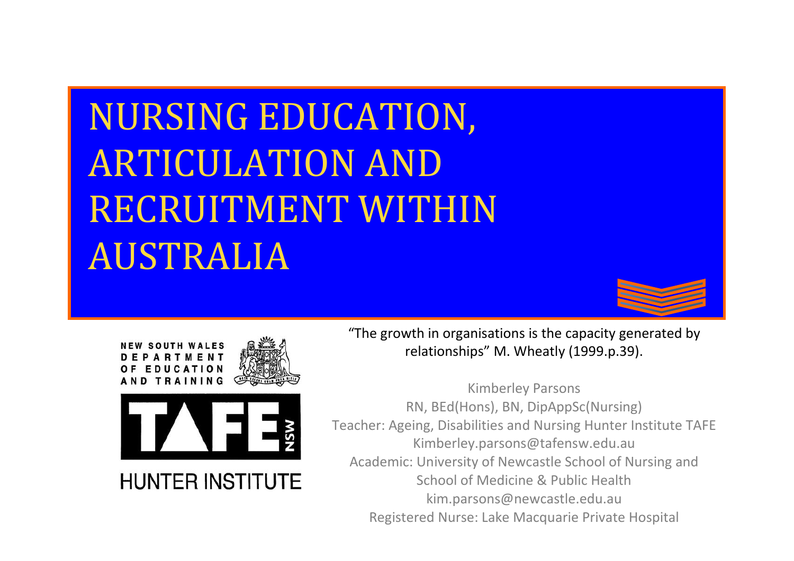# NURSING EDUCATION, ARTICULATION AND RECRUITMENT WITHIN AUSTRALIA







"The growth in organisations is the capacity generated by relationships" M. Wheatly (1999.p.39).

Kimberley Parsons RN, BEd(Hons), BN, DipAppSc(Nursing) Teacher: Ageing, Disabilities and Nursing Hunter Institute TAFE Kimberley.parsons@tafensw.edu.au Academic: University of Newcastle School of Nursing and School of Medicine & Public Health kim.parsons@newcastle.edu.au Registered Nurse: Lake Macquarie Private Hospital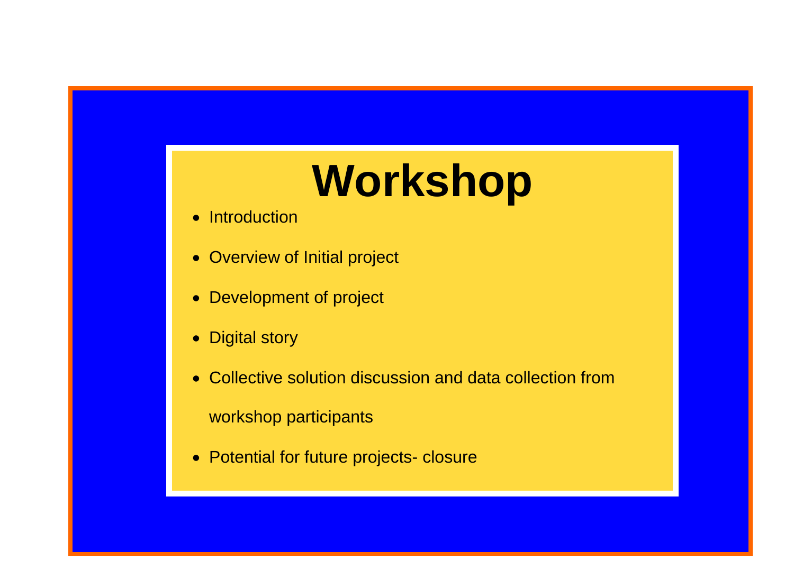# **Workshop**

- Introduction
- Overview of Initial project
- Development of project
- Digital story

- Collective solution discussion and data collection from workshop participants
- Potential for future projects- closure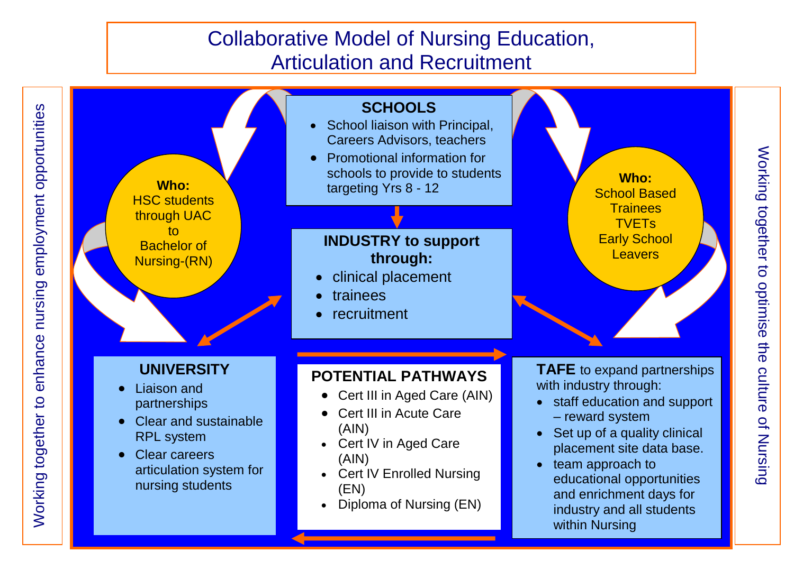employment opportunities Working together to enhance nursing employment opportunities nursing enhance Working together to



together to optimise the culture of Nursing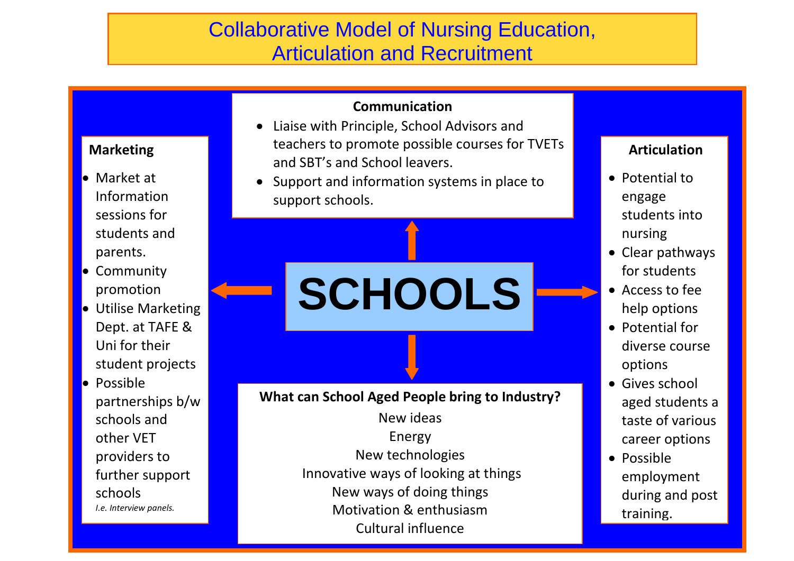#### **Communication**

- Liaise with Principle, School Advisors and teachers to promote possible courses for TVETs and SBT's and School leavers.
- Support and information systems in place to support schools.

**SCHOOLS**

**What can School Aged People bring to Industry?**

New ideas Energy New technologies Innovative ways of looking at things New ways of doing things Motivation & enthusiasm Cultural influence

#### **Articulation**

- Potential to engage students into nursing
- Clear pathways for students
- Access to fee help options
- Potential for diverse course options
- Gives school aged students a taste of various career options
- Possible employment during and post training.

#### **Marketing**

- Market at Information sessions for students and parents.
- **Community** promotion
- **•** Utilise Marketing Dept. at TAFE & Uni for their student projects
- **•** Possible partnerships b/w schools and other VET providers to further support schools *I.e. Interview panels.*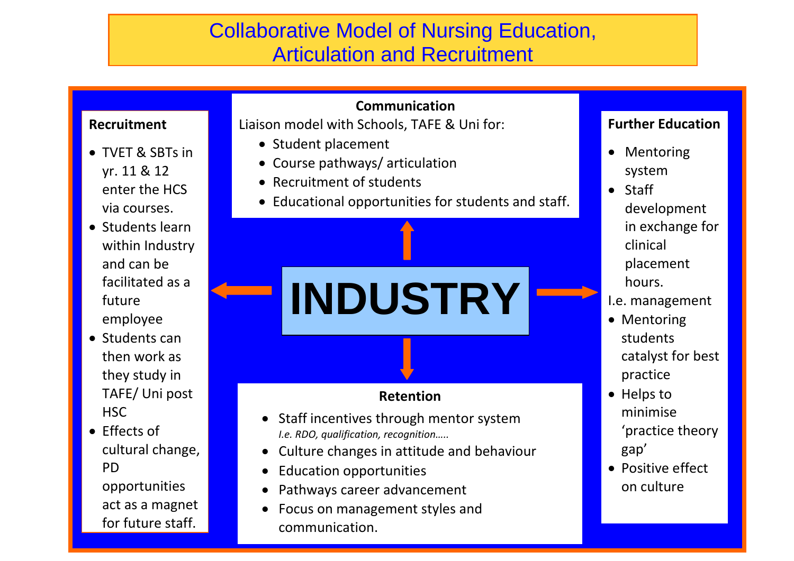#### **Recruitment**

- TVET & SBTs in yr. 11 & 12 enter the HCS via courses.
- Students learn within Industry and can be facilitated as a future employee
- Students can then work as they study in TAFE/ Uni post HSC
- **For future staff.** The state of the state of the state of the state of the state of the state of the state of the  $\bullet$  Fffects of cultural change, PD opportunities act as a magnet

#### **Communication**

Liaison model with Schools, TAFE & Uni for:

- Student placement
- Course pathways/ articulation
- Recruitment of students
- Educational opportunities for students and staff.



- 
- Education opportunities
- Pathways career advancement
- Focus on management styles and communication.

#### **Further Education**

- Mentoring system
- Staff development in exchange for clinical placement hours.
- I.e. management
- Mentoring students catalyst for best practice
- Helps to minimise 'practice theory gap'
- Positive effect on culture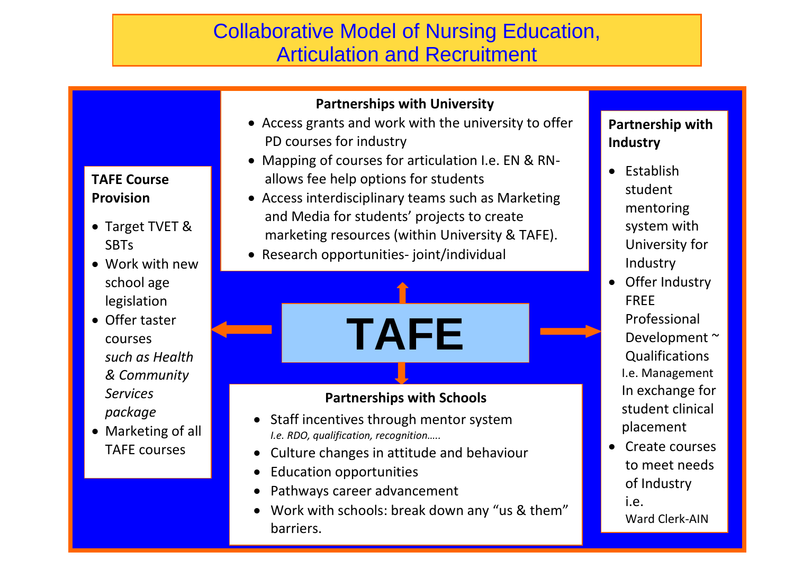#### **Partnerships with University**

- Access grants and work with the university to offer PD courses for industry
- Mapping of courses for articulation I.e. EN & RNallows fee help options for students
- Access interdisciplinary teams such as Marketing and Media for students' projects to create
- marketing resources (within University & TAFE).
- Research opportunities- joint/individual
- **TAFE**

#### **Partnerships with Schools**

- Staff incentives through mentor system *I.e. RDO, qualification, recognition…..*
- Culture changes in attitude and behaviour
- Education opportunities
- Pathways career advancement
- <u>film and the second contract of the second contract of the second contract of the second contract of the second</u> Work with schools: break down any "us & them" barriers.

#### **Partnership with Industry**

- $\bullet$  Establish student mentoring system with University for Industry
- Offer Industry FREE
	- Professional Development ~ **Qualifications** I.e. Management In exchange for student clinical placement
- Create courses to meet needs of Industry

i.e. Ward Clerk-AIN

#### **TAFE Course Provision**

- Target TVET & **SBTs**
- Work with new school age legislation
- Offer taster courses *such as Health & Community Services package*
- Marketing of all TAFE courses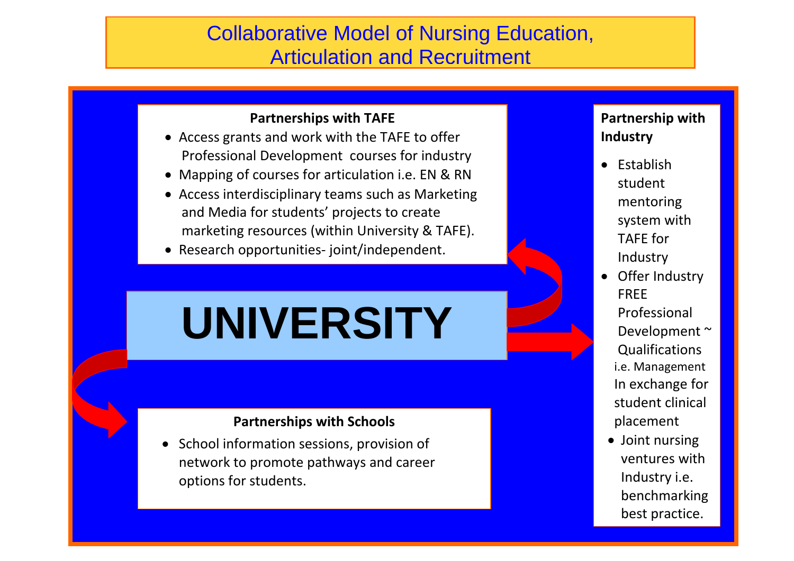#### **Partnerships with TAFE**

- Access grants and work with the TAFE to offer Professional Development courses for industry
- Mapping of courses for articulation i.e. EN & RN
- Access interdisciplinary teams such as Marketing and Media for students' projects to create marketing resources (within University & TAFE).
- Research opportunities- joint/independent.

# **UNIVERSITY**

#### **Partnerships with Schools**

 School information sessions, provision of network to promote pathways and career options for students.

77 - Paul II - Paul II - Paul II - Paul II - Paul II - Paul II - Paul II - Paul II - Paul II - Paul II - Paul

#### **Partnership with Industry**

- $\bullet$  Establish student mentoring system with TAFE for Industry
- Offer Industry FREE Professional Development ~ **Qualifications** i.e. Management In exchange for student clinical placement
- Joint nursing ventures with Industry i.e. benchmarking best practice.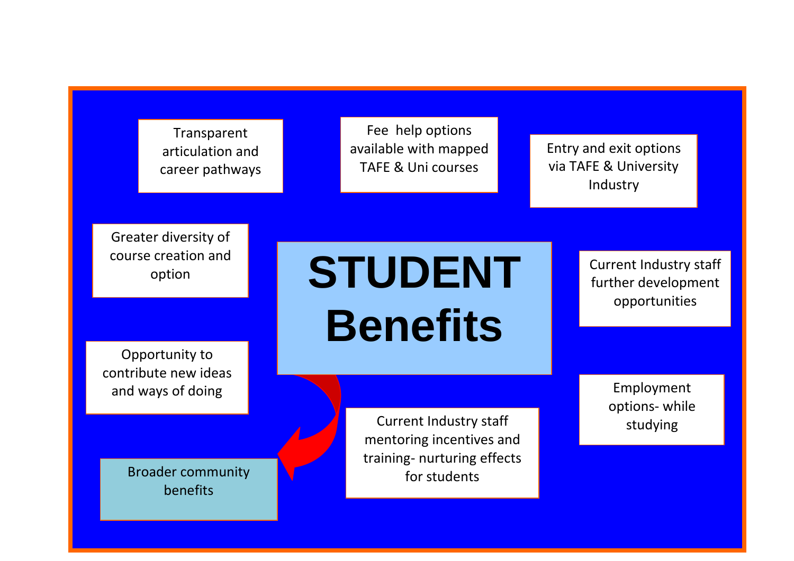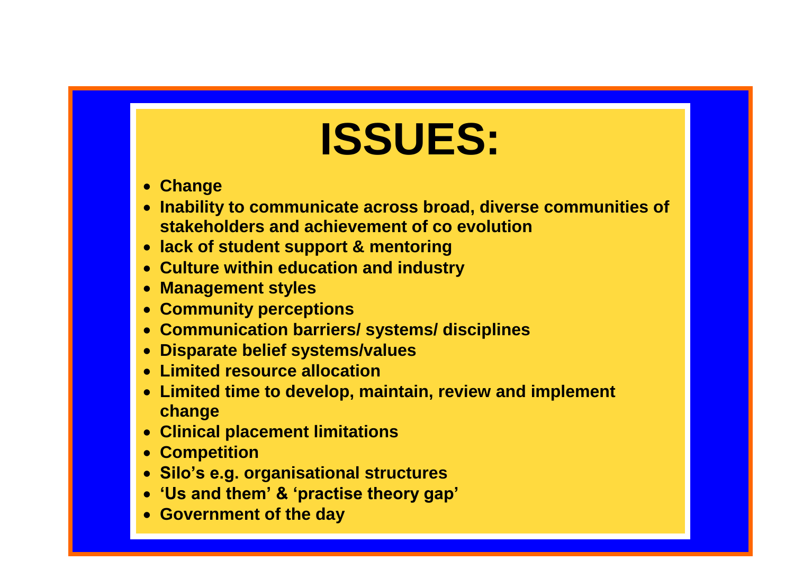# **ISSUES: ISSUES:**

- **Change**
- apnily lo o<br>akahaldar*i*  **Inability to communicate across broad, diverse communities of stakeholders and achievement of co evolution**
- **Culture with an induction of the critical**<br>Sk of student support 8 mentering **lack of student support & mentoring**
- **Management Support**<br>Ilture within education **Culture within education and industry**
- **Community of the Community of the Community Management styles**
- **Community parameters Community perceptions**
- **Belief systems Communication barriers/ systems/ disciplines**
- *RESOURCE AND THE RESOLUTION* **Disparate belief systems/values**
- **The top develops of the development change**<br>mitod resource allocation **Limited resource allocation**
- mitad fima to develop maintain **Competition Limited time to develop, maintain, review and implement change**
- mingo<br>iningl nl **Compatition Clinical placement limitations**
- **Competition**
- **'Us and them' & 'practise theory gap' Silo's e.g. organisational structures**
- **Government of the day of the day of the day of the day. 'Us and them' & 'practise theory gap'**
- **example 3 Government of the day**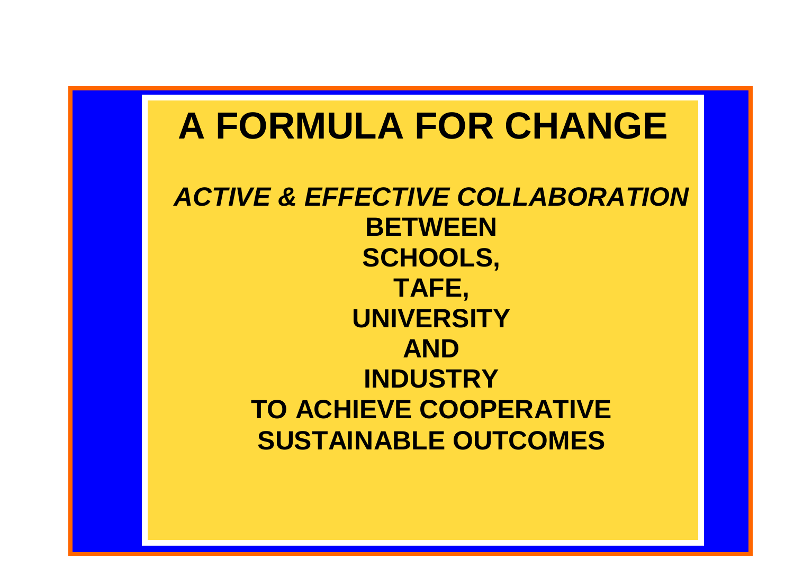## **A FORMULA FOR CHANGE**

*ACTIVE & EFFECTIVE COLLABORATION* **BETWEEN SCHOOLS, TAFE, UNIVERSITY AND INDUSTRY TO ACHIEVE COOPERATIVE SUSTAINABLE OUTCOMES**

100 - 100 - 100 - 100 - 100 - 100 - 100 - 100 - 100 - 100 - 100 - 100 - 100 - 100 - 100 - 100 - 100 - 100 - 10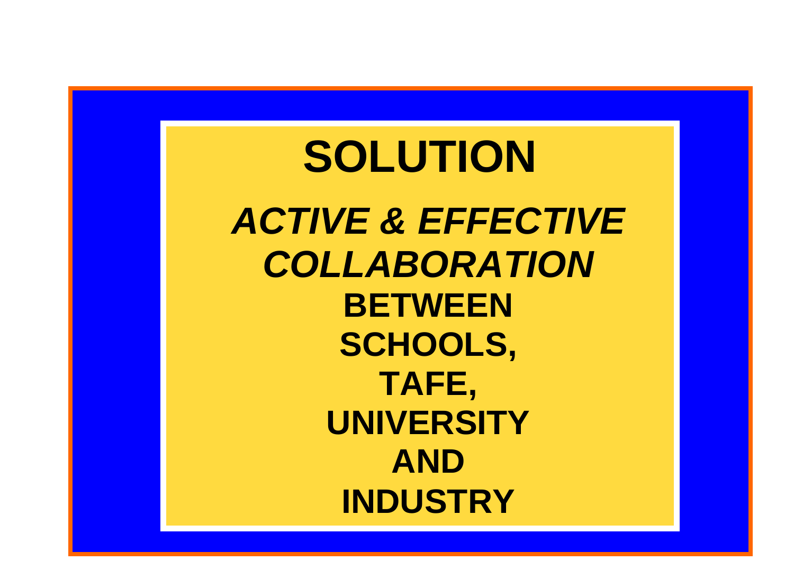## 11 **SOLUTION** *ACTIVE & EFFECTIVE COLLABORATION* **BETWEEN SCHOOLS, TAFE, UNIVERSITY AND INDUSTRY**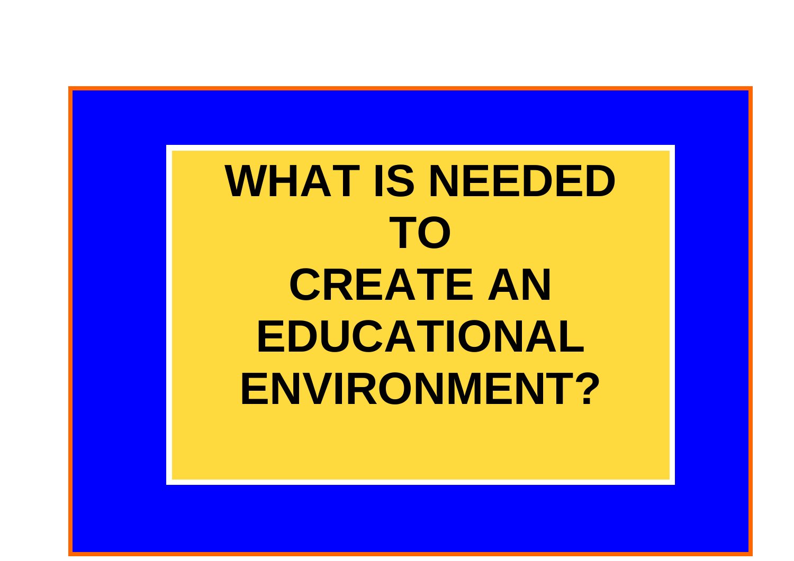**WHAT IS NEEDED TO CREATE AN EDUCATIONAL ENVIRONMENT?**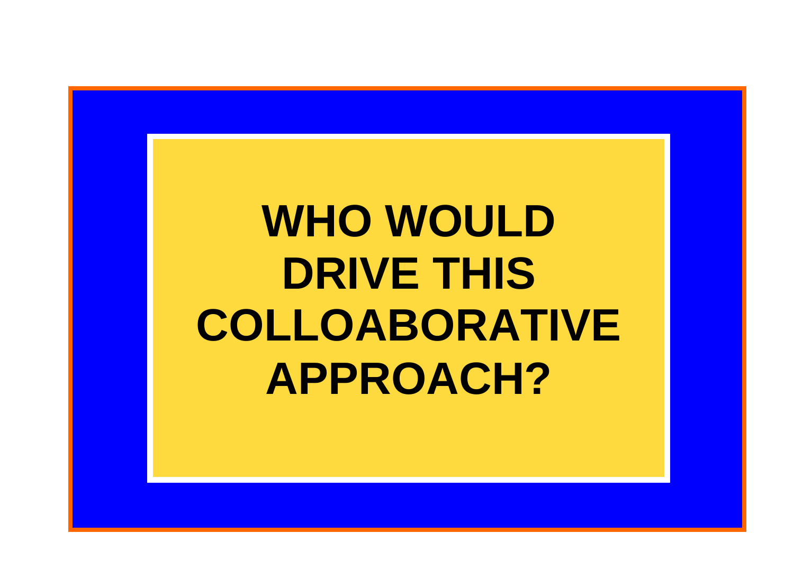# **WHO WOULD DRIVE THIS COLLOABORATIVE APPROACH?**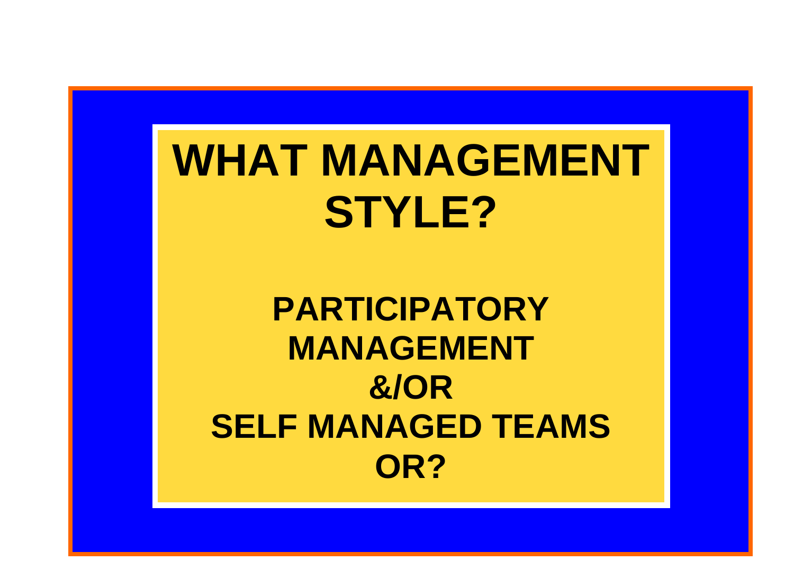# WHAT MANAGEMENT **STYLE?**

# **PARTICIPATORY MANAGEMENT &/OR SELF MANAGED TEAMS OR?**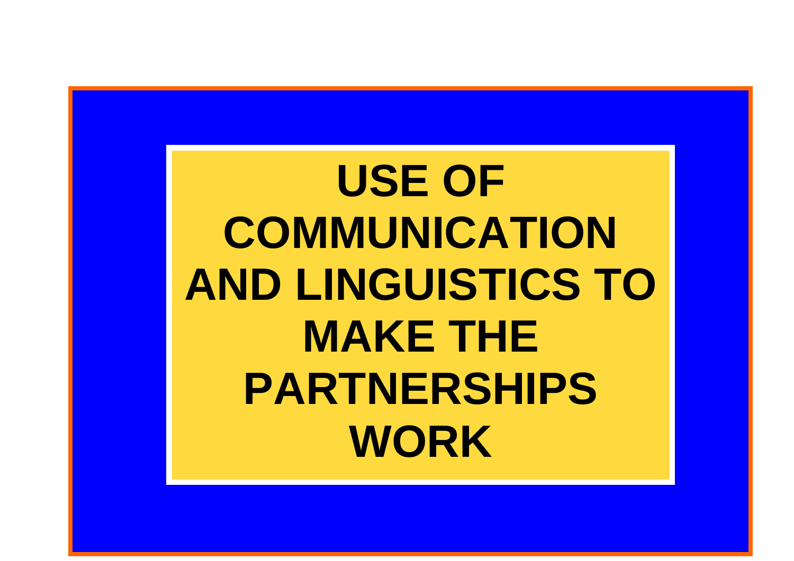**USE OF COMMUNICATION AND LINGUISTICS TO MAKE THE PARTNERSHIPS WORK**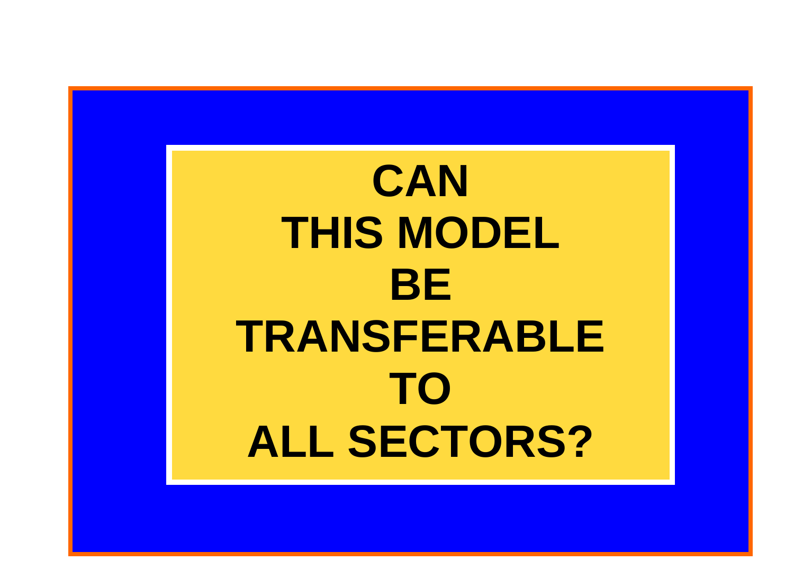**CAN THIS MODEL BE TRANSFERABLE TO ALL SECTORS?**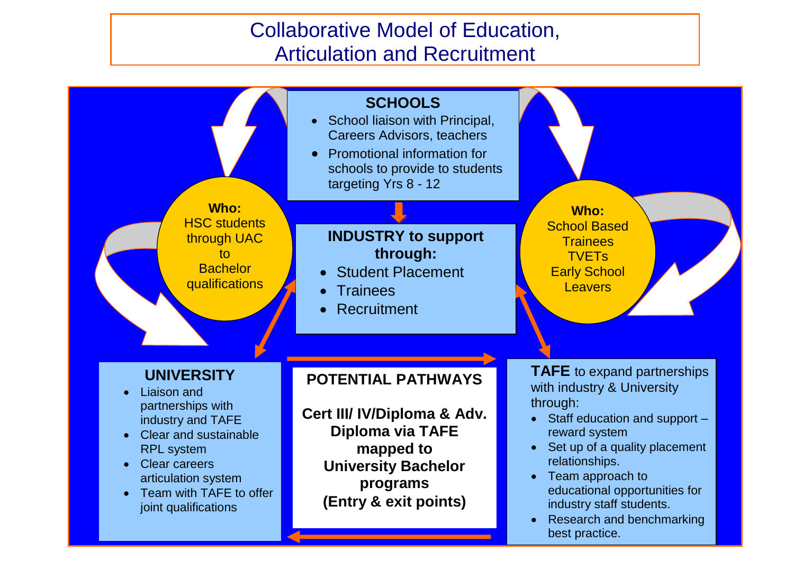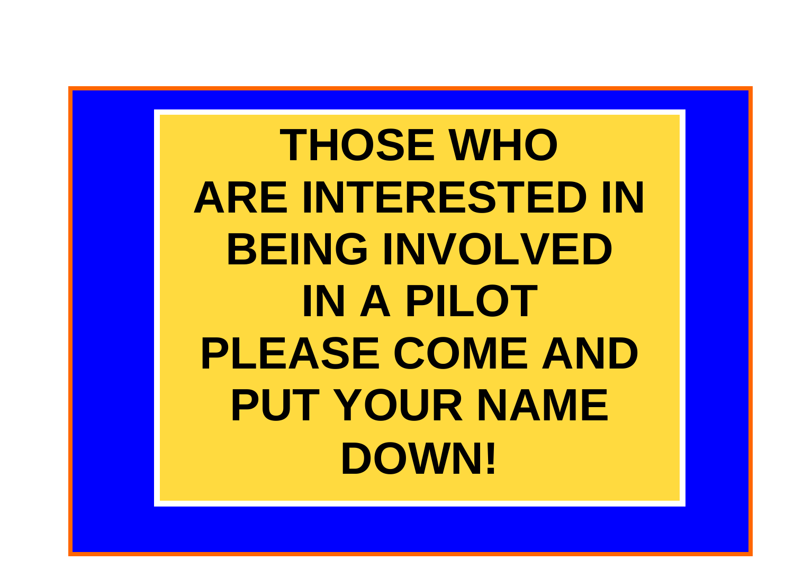**THOSE WHO ARE INTERESTED IN BEING INVOLVED IN A PILOT PLEASE COME AND PUT YOUR NAME DOWN!**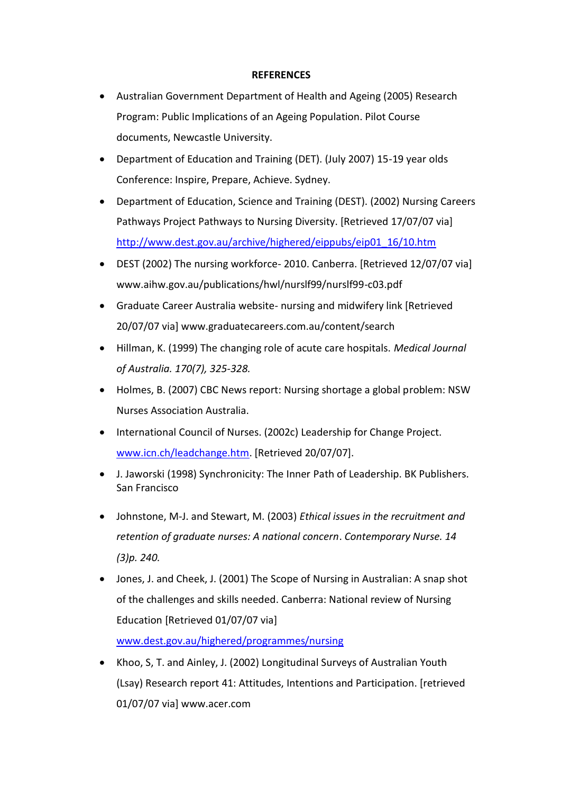#### **REFERENCES**

- Australian Government Department of Health and Ageing (2005) Research Program: Public Implications of an Ageing Population. Pilot Course documents, Newcastle University.
- Department of Education and Training (DET). (July 2007) 15-19 year olds Conference: Inspire, Prepare, Achieve. Sydney.
- Department of Education, Science and Training (DEST). (2002) Nursing Careers Pathways Project Pathways to Nursing Diversity. [Retrieved 17/07/07 via] [http://www.dest.gov.au/archive/highered/eippubs/eip01\\_16/10.htm](http://www.dest.gov.au/archive/highered/eippubs/eip01_16/10.htm)
- DEST (2002) The nursing workforce- 2010. Canberra. [Retrieved 12/07/07 via] www.aihw.gov.au/publications/hwl/nurslf99/nurslf99-c03.pdf
- Graduate Career Australia website- nursing and midwifery link [Retrieved 20/07/07 via] www.graduatecareers.com.au/content/search
- Hillman, K. (1999) The changing role of acute care hospitals. *Medical Journal of Australia. 170(7), 325-328.*
- Holmes, B. (2007) CBC News report: Nursing shortage a global problem: NSW Nurses Association Australia.
- International Council of Nurses. (2002c) Leadership for Change Project. [www.icn.ch/leadchange.htm.](http://www.icn.ch/leadchange.htm) [Retrieved 20/07/07].
- J. Jaworski (1998) Synchronicity: The Inner Path of Leadership. BK Publishers. San Francisco
- Johnstone, M-J. and Stewart, M. (2003) *Ethical issues in the recruitment and retention of graduate nurses: A national concern*. *Contemporary Nurse. 14 (3)p. 240.*
- Jones, J. and Cheek, J. (2001) The Scope of Nursing in Australian: A snap shot of the challenges and skills needed. Canberra: National review of Nursing Education [Retrieved 01/07/07 via] [www.dest.gov.au/highered/programmes/nursing](http://www.dest.gov.au/highered/programmes/nursing)
- Khoo, S, T. and Ainley, J. (2002) Longitudinal Surveys of Australian Youth (Lsay) Research report 41: Attitudes, Intentions and Participation. [retrieved 01/07/07 via] www.acer.com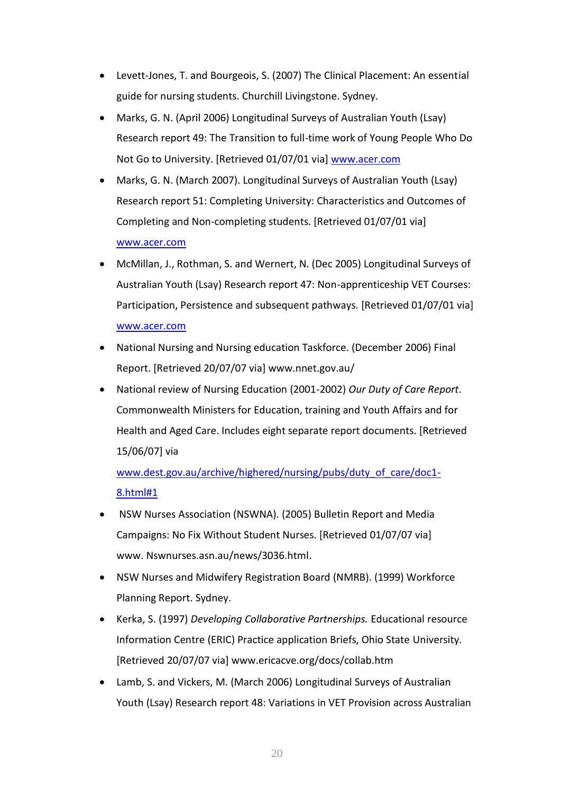- Levett-Jones, T. and Bourgeois, S. (2007) The Clinical Placement: An essential guide for nursing students. Churchill Livingstone. Sydney.
- Marks, G. N. (April 2006) Longitudinal Surveys of Australian Youth (Lsay) Research report 49: The Transition to full-time work of Young People Who Do Not Go to University. [Retrieved 01/07/01 via] [www.acer.com](http://www.acer.com/)
- Marks, G. N. (March 2007). Longitudinal Surveys of Australian Youth (Lsay) Research report 51: Completing University: Characteristics and Outcomes of Completing and Non-completing students. [Retrieved 01/07/01 via] [www.acer.com](http://www.acer.com/)
- McMillan, J., Rothman, S. and Wernert, N. (Dec 2005) Longitudinal Surveys of Australian Youth (Lsay) Research report 47: Non-apprenticeship VET Courses: Participation, Persistence and subsequent pathways. [Retrieved 01/07/01 via] [www.acer.com](http://www.acer.com/)
- National Nursing and Nursing education Taskforce. (December 2006) Final Report. [Retrieved 20/07/07 via] www.nnet.gov.au/
- National review of Nursing Education (2001-2002) *Our Duty of Care Report*. Commonwealth Ministers for Education, training and Youth Affairs and for Health and Aged Care. Includes eight separate report documents. [Retrieved 15/06/07] via

[www.dest.gov.au/archive/highered/nursing/pubs/duty\\_of\\_care/doc1-](http://www.dest.gov.au/archive/highered/nursing/pubs/duty_of_care/doc1-8.html#1) [8.html#1](http://www.dest.gov.au/archive/highered/nursing/pubs/duty_of_care/doc1-8.html#1)

- NSW Nurses Association (NSWNA). (2005) Bulletin Report and Media Campaigns: No Fix Without Student Nurses. [Retrieved 01/07/07 via] www. Nswnurses.asn.au/news/3036.html.
- NSW Nurses and Midwifery Registration Board (NMRB). (1999) Workforce Planning Report. Sydney.
- Kerka, S. (1997) *Developing Collaborative Partnerships.* Educational resource Information Centre (ERIC) Practice application Briefs, Ohio State University. [Retrieved 20/07/07 via] www.ericacve.org/docs/collab.htm
- Lamb, S. and Vickers, M. (March 2006) Longitudinal Surveys of Australian Youth (Lsay) Research report 48: Variations in VET Provision across Australian